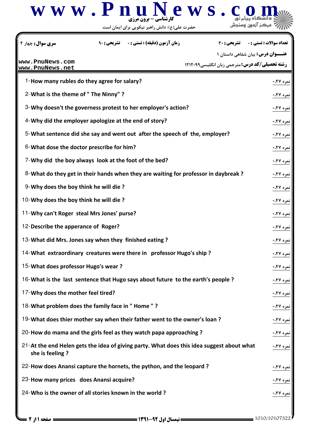

حضرت علي(ع): دانش راهبر نيكويي براي ايمان است

**عنــــوان درس:** بیان شفاهی داستان ۱ **رشته تحصیلی/کد درس: مترجمی زبان انگلیسی1۲۱۲۰۹۹** تعداد سوالات : تستي تشريحي زمان آزمون (دقيقه) : تستي تشريحي سري سوال # \$% (&: &: '& &: : : 1-How many rubles do they agree for salary? &,#0 1  $2$ - What is the theme of " The Ninny" ?  $\cdot$  .  $\cdot$  .  $\cdot$  .  $\cdot$  10  $\cdot$  10  $\cdot$  10  $\cdot$  10  $\cdot$  10  $\cdot$  10  $\cdot$  10  $\cdot$  10  $\cdot$  10  $\cdot$  10  $\cdot$  10  $\cdot$  10  $\cdot$  10  $\cdot$  10  $\cdot$  10  $\cdot$  10  $\cdot$  10  $\cdot$  10  $\cdot$  10  $\cdot$  1 3-Why doesn't the governess protest to her employer's action?  $\cdot$  1990  $\cdot$  1990  $\cdot$  1990  $\cdot$  1990  $\cdot$  1990  $\cdot$  1990  $\cdot$  1990  $\cdot$  1990  $\cdot$  1990  $\cdot$  1990  $\cdot$  1990  $\cdot$  1990  $\cdot$  1990  $\cdot$  1990  $\cdot$  1990  $\cdot$  199 4-Why did the employer apologize at the end of story? &,#0 1 5-What sentence did she say and went out after the speech of the, employer?  $\cdot$ 6-What dose the doctor prescribe for him?  $\cdot$  1990  $\cdot$  1990  $\cdot$  1990  $\cdot$  1990  $\cdot$  1990  $\cdot$  1990  $\cdot$  1990  $\cdot$  1990  $\cdot$  1990  $\cdot$  1990  $\cdot$  1990  $\cdot$  1990  $\cdot$  1990  $\cdot$  1990  $\cdot$  1990  $\cdot$  1990  $\cdot$  1990  $\cdot$  199 7-Why did the boy always look at the foot of the bed? &,#0 1 8-What do they get in their hands when they are waiting for professor in daybreak ?  $\cdots$  19 19 19 9-Why does the boy think he will die ? &,#0 1 10-Why does the boy think he will die ? &,#0 1 11-Why can't Roger steal Mrs Jones' purse? &,#0 1 12-Describe the apperance of Roger? &,#0 1 13-What did Mrs. Jones say when they finished eating ? &,#0 1 14-What extraordinary creatures were there in professor Hugo's ship ? &,#0 1 15-What does professor Hugo's wear ? &,#0 1 16-What is the last sentence that Hugo says about future to the earth's people ?  $\cdot$ ......................... 17-Why does the mother feel tired? &,#0 1 18-What problem does the family face in " Home " ? &,#0 1 19-What does thier mother say when their father went to the owner's loan ? &,#0 1 20-How do mama and the girls feel as they watch papa approaching ? &,#0 1  $21$ -At the end Helen gets the idea of giving party. What does this idea suggest about what  $\cdots$ ۶۷ نمره ۱۶۷ she is feeling ? 22-How does Anansi capture the hornets, the python, and the leopard ? &,#0 1 23-How many prices does Anansi acquire? &,#0 1 24-Who is the owner of all stories known in the world ? &,#0 1 **[www.PnuNews.com](http://pnunews.com) [www.PnuNews.net](http://pnunews.net)**